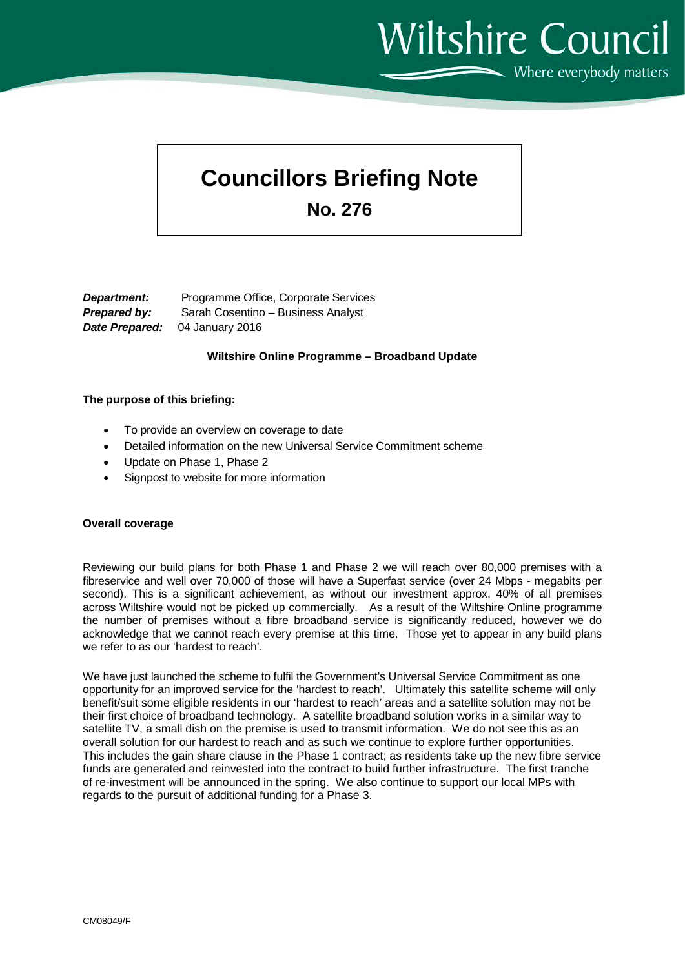**Wiltshire Council** Where everybody matters

# **Councillors Briefing Note**

**No. 276**

*Department:* Programme Office, Corporate Services *Prepared by:* Sarah Cosentino – Business Analyst *Date Prepared:* 04 January 2016

# **Wiltshire Online Programme – Broadband Update**

# **The purpose of this briefing:**

- To provide an overview on coverage to date
- Detailed information on the new Universal Service Commitment scheme
- Update on Phase 1, Phase 2
- Signpost to website for more information

#### **Overall coverage**

Reviewing our build plans for both Phase 1 and Phase 2 we will reach over 80,000 premises with a fibreservice and well over 70,000 of those will have a Superfast service (over 24 Mbps - megabits per second). This is a significant achievement, as without our investment approx. 40% of all premises across Wiltshire would not be picked up commercially. As a result of the Wiltshire Online programme the number of premises without a fibre broadband service is significantly reduced, however we do acknowledge that we cannot reach every premise at this time. Those yet to appear in any build plans we refer to as our 'hardest to reach'.

We have just launched the scheme to fulfil the Government's Universal Service Commitment as one opportunity for an improved service for the 'hardest to reach'. Ultimately this satellite scheme will only benefit/suit some eligible residents in our 'hardest to reach' areas and a satellite solution may not be their first choice of broadband technology. A satellite broadband solution works in a similar way to satellite TV, a small dish on the premise is used to transmit information. We do not see this as an overall solution for our hardest to reach and as such we continue to explore further opportunities. This includes the gain share clause in the Phase 1 contract; as residents take up the new fibre service funds are generated and reinvested into the contract to build further infrastructure. The first tranche of re-investment will be announced in the spring. We also continue to support our local MPs with regards to the pursuit of additional funding for a Phase 3.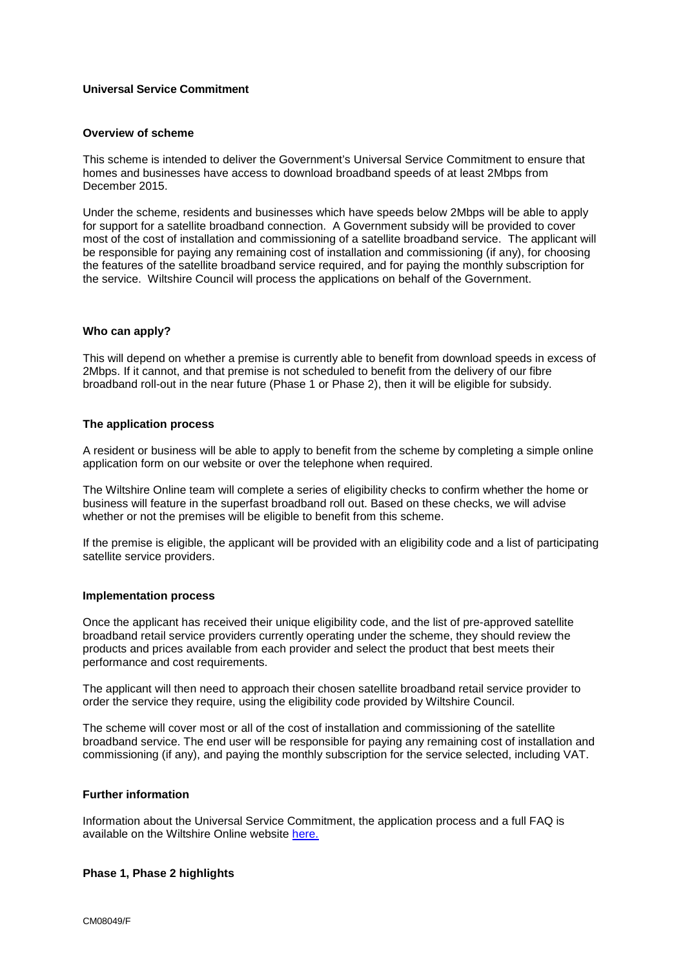# **Universal Service Commitment**

# **Overview of scheme**

This scheme is intended to deliver the Government's Universal Service Commitment to ensure that homes and businesses have access to download broadband speeds of at least 2Mbps from December 2015.

Under the scheme, residents and businesses which have speeds below 2Mbps will be able to apply for support for a satellite broadband connection. A Government subsidy will be provided to cover most of the cost of installation and commissioning of a satellite broadband service. The applicant will be responsible for paying any remaining cost of installation and commissioning (if any), for choosing the features of the satellite broadband service required, and for paying the monthly subscription for the service. Wiltshire Council will process the applications on behalf of the Government.

#### **Who can apply?**

This will depend on whether a premise is currently able to benefit from download speeds in excess of 2Mbps. If it cannot, and that premise is not scheduled to benefit from the delivery of our fibre broadband roll-out in the near future (Phase 1 or Phase 2), then it will be eligible for subsidy.

#### **The application process**

A resident or business will be able to apply to benefit from the scheme by completing a simple online application form on our website or over the telephone when required.

The Wiltshire Online team will complete a series of eligibility checks to confirm whether the home or business will feature in the superfast broadband roll out. Based on these checks, we will advise whether or not the premises will be eligible to benefit from this scheme.

If the premise is eligible, the applicant will be provided with an eligibility code and a list of participating satellite service providers.

#### **Implementation process**

Once the applicant has received their unique eligibility code, and the list of pre-approved satellite broadband retail service providers currently operating under the scheme, they should review the products and prices available from each provider and select the product that best meets their performance and cost requirements.

The applicant will then need to approach their chosen satellite broadband retail service provider to order the service they require, using the eligibility code provided by Wiltshire Council.

The scheme will cover most or all of the cost of installation and commissioning of the satellite broadband service. The end user will be responsible for paying any remaining cost of installation and commissioning (if any), and paying the monthly subscription for the service selected, including VAT.

#### **Further information**

Information about the Universal Service Commitment, the application process and a full FAQ is available on the Wiltshire Online website [here.](http://www.wiltshireonline.org/index.php/broadband-rollout/basic-broadband-commitment)

#### **Phase 1, Phase 2 highlights**